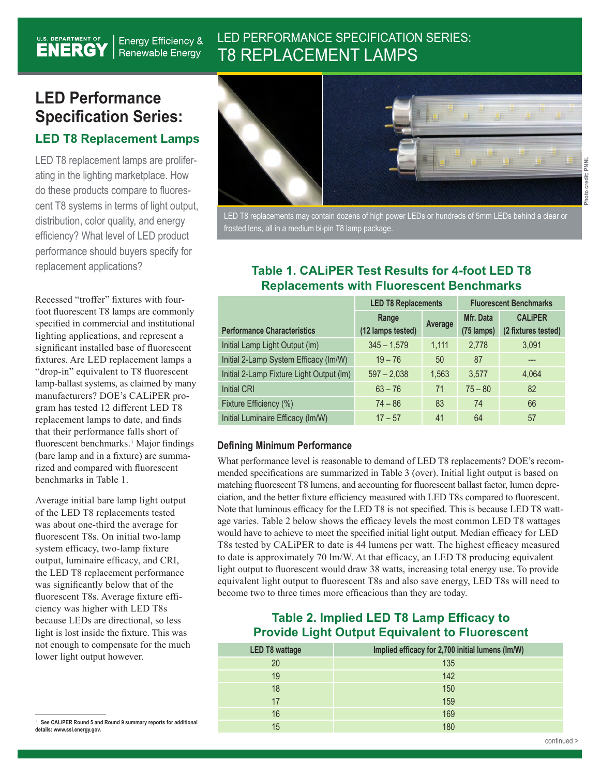# LED PERFORMANCE SPECIFICATION SERIES: T8 REPLACEMENT LAMPS

# **LED Performance Specification Series: LED T8 Replacement Lamps**

**Energy Efficiency & Renewable Energy** 

U.S. DEPARTMENT OF

LED T8 replacement lamps are proliferating in the lighting marketplace. How do these products compare to fluorescent T8 systems in terms of light output, distribution, color quality, and energy efficiency? What level of LED product performance should buyers specify for replacement applications?

Recessed "troffer" fixtures with fourfoot fluorescent T8 lamps are commonly specified in commercial and institutional lighting applications, and represent a significant installed base of fluorescent fixtures. Are LED replacement lamps a "drop-in" equivalent to T8 fluorescent lamp-ballast systems, as claimed by many manufacturers? DOE's CALiPER program has tested 12 different LED T8 replacement lamps to date, and finds that their performance falls short of fluorescent benchmarks.<sup>1</sup> Major findings (bare lamp and in a fixture) are summarized and compared with fluorescent benchmarks in Table 1.

Average initial bare lamp light output of the LED T8 replacements tested was about one-third the average for fluorescent T8s. On initial two-lamp system efficacy, two-lamp fixture output, luminaire efficacy, and CRI, the LED T8 replacement performance was significantly below that of the fluorescent T8s. Average fixture efficiency was higher with LED T8s because LEDs are directional, so less light is lost inside the fixture. This was not enough to compensate for the much lower light output however.



LED T8 replacements may contain dozens of high power LEDs or hundreds of 5mm LEDs behind a clear or frosted lens, all in a medium bi-pin T8 lamp package.

#### **Table 1. CALiPER Test Results for 4-foot LED T8 Replacements with Fluorescent Benchmarks**

|                                          | <b>LED T8 Replacements</b> |         | <b>Fluorescent Benchmarks</b> |                     |
|------------------------------------------|----------------------------|---------|-------------------------------|---------------------|
|                                          | Range                      | Average | Mfr. Data                     | <b>CALIPER</b>      |
| <b>Performance Characteristics</b>       | (12 lamps tested)          |         | (75 lamps)                    | (2 fixtures tested) |
| Initial Lamp Light Output (Im)           | $345 - 1,579$              | 1,111   | 2,778                         | 3,091               |
| Initial 2-Lamp System Efficacy (Im/W)    | $19 - 76$                  | 50      | 87                            | ---                 |
| Initial 2-Lamp Fixture Light Output (Im) | $597 - 2,038$              | 1,563   | 3.577                         | 4,064               |
| <b>Initial CRI</b>                       | $63 - 76$                  | 71      | $75 - 80$                     | 82                  |
| Fixture Efficiency (%)                   | $74 - 86$                  | 83      | 74                            | 66                  |
| Initial Luminaire Efficacy (Im/W)        | $17 - 57$                  | 41      | 64                            | 57                  |

#### **Defining Minimum Performance**

What performance level is reasonable to demand of LED T8 replacements? DOE's recommended specifications are summarized in Table 3 (over). Initial light output is based on matching fluorescent T8 lumens, and accounting for fluorescent ballast factor, lumen depreciation, and the better fixture efficiency measured with LED T8s compared to fluorescent. Note that luminous efficacy for the LED T8 is not specified. This is because LED T8 wattage varies. Table 2 below shows the efficacy levels the most common LED T8 wattages would have to achieve to meet the specified initial light output. Median efficacy for LED T8s tested by CALiPER to date is 44 lumens per watt. The highest efficacy measured to date is approximately 70 lm/W. At that efficacy, an LED T8 producing equivalent light output to fluorescent would draw 38 watts, increasing total energy use. To provide equivalent light output to fluorescent T8s and also save energy, LED T8s will need to become two to three times more efficacious than they are today.

### **Table 2. Implied LED T8 Lamp Efficacy to Provide Light Output Equivalent to Fluorescent**

| <b>LED T8 wattage</b> | Implied efficacy for 2,700 initial lumens (Im/W) |  |  |  |
|-----------------------|--------------------------------------------------|--|--|--|
| 20                    | 135                                              |  |  |  |
| 19                    | 142                                              |  |  |  |
| 18                    | 150                                              |  |  |  |
| 17                    | 159                                              |  |  |  |
| 16                    | 169                                              |  |  |  |
| 15                    |                                                  |  |  |  |

<sup>1</sup> **See CALiPER Round 5 and Round 9 summary reports for additional details: www.ssl.energy.gov.**

**Photo credit: PNNL**

Photo credit: PNNI